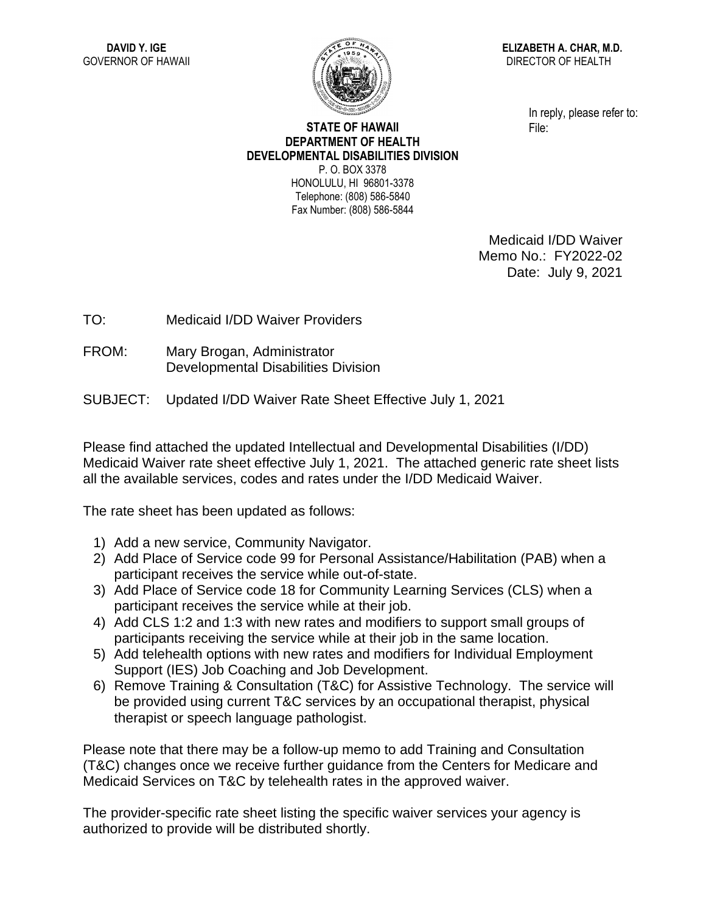

**ELIZABETH A. CHAR, M.D.** DIRECTOR OF HEALTH

> In reply, please refer to: File:

## **STATE OF HAWAII DEPARTMENT OF HEALTH DEVELOPMENTAL DISABILITIES DIVISION** P. O. BOX 3378 HONOLULU, HI 96801-3378

Telephone: (808) 586-5840 Fax Number: (808) 586-5844

> Medicaid I/DD Waiver Memo No.: FY2022-02 Date: July 9, 2021

TO: Medicaid I/DD Waiver Providers

FROM: Mary Brogan, Administrator Developmental Disabilities Division

SUBJECT: Updated I/DD Waiver Rate Sheet Effective July 1, 2021

Please find attached the updated Intellectual and Developmental Disabilities (I/DD) Medicaid Waiver rate sheet effective July 1, 2021. The attached generic rate sheet lists all the available services, codes and rates under the I/DD Medicaid Waiver.

The rate sheet has been updated as follows:

- 1) Add a new service, Community Navigator.
- 2) Add Place of Service code 99 for Personal Assistance/Habilitation (PAB) when a participant receives the service while out-of-state.
- 3) Add Place of Service code 18 for Community Learning Services (CLS) when a participant receives the service while at their job.
- 4) Add CLS 1:2 and 1:3 with new rates and modifiers to support small groups of participants receiving the service while at their job in the same location.
- 5) Add telehealth options with new rates and modifiers for Individual Employment Support (IES) Job Coaching and Job Development.
- 6) Remove Training & Consultation (T&C) for Assistive Technology. The service will be provided using current T&C services by an occupational therapist, physical therapist or speech language pathologist.

Please note that there may be a follow-up memo to add Training and Consultation (T&C) changes once we receive further guidance from the Centers for Medicare and Medicaid Services on T&C by telehealth rates in the approved waiver.

The provider-specific rate sheet listing the specific waiver services your agency is authorized to provide will be distributed shortly.